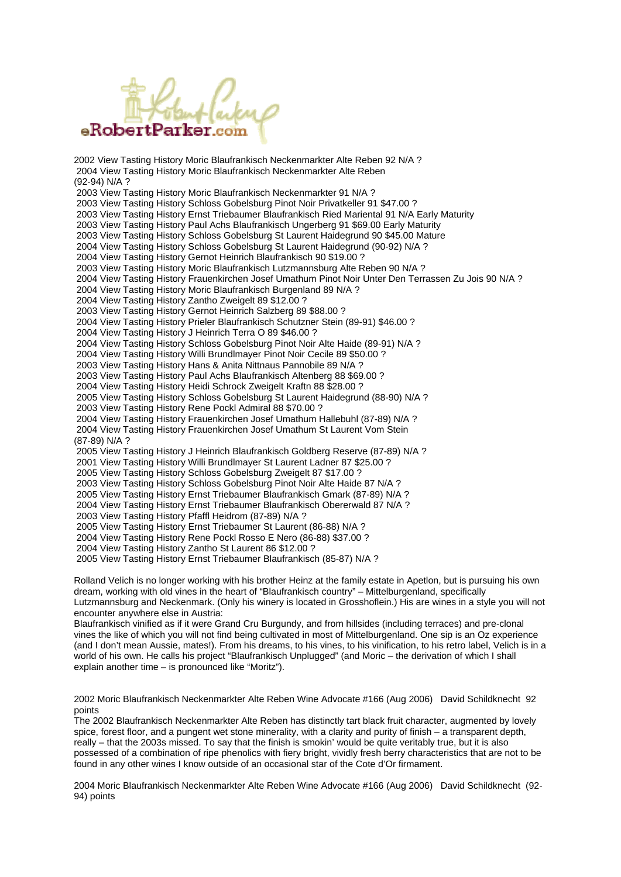

2002 View Tasting History Moric Blaufrankisch Neckenmarkter Alte Reben 92 N/A ? 2004 View Tasting History Moric Blaufrankisch Neckenmarkter Alte Reben (92-94) N/A ? 2003 View Tasting History Moric Blaufrankisch Neckenmarkter 91 N/A ? 2003 View Tasting History Schloss Gobelsburg Pinot Noir Privatkeller 91 \$47.00 ? 2003 View Tasting History Ernst Triebaumer Blaufrankisch Ried Mariental 91 N/A Early Maturity 2003 View Tasting History Paul Achs Blaufrankisch Ungerberg 91 \$69.00 Early Maturity 2003 View Tasting History Schloss Gobelsburg St Laurent Haidegrund 90 \$45.00 Mature 2004 View Tasting History Schloss Gobelsburg St Laurent Haidegrund (90-92) N/A ? 2004 View Tasting History Gernot Heinrich Blaufrankisch 90 \$19.00 ? 2003 View Tasting History Moric Blaufrankisch Lutzmannsburg Alte Reben 90 N/A ? 2004 View Tasting History Frauenkirchen Josef Umathum Pinot Noir Unter Den Terrassen Zu Jois 90 N/A ? 2004 View Tasting History Moric Blaufrankisch Burgenland 89 N/A ? 2004 View Tasting History Zantho Zweigelt 89 \$12.00 ? 2003 View Tasting History Gernot Heinrich Salzberg 89 \$88.00 ? 2004 View Tasting History Prieler Blaufrankisch Schutzner Stein (89-91) \$46.00 ? 2004 View Tasting History J Heinrich Terra O 89 \$46.00 ? 2004 View Tasting History Schloss Gobelsburg Pinot Noir Alte Haide (89-91) N/A ? 2004 View Tasting History Willi Brundlmayer Pinot Noir Cecile 89 \$50.00 ? 2003 View Tasting History Hans & Anita Nittnaus Pannobile 89 N/A ? 2003 View Tasting History Paul Achs Blaufrankisch Altenberg 88 \$69.00 ? 2004 View Tasting History Heidi Schrock Zweigelt Kraftn 88 \$28.00 ? 2005 View Tasting History Schloss Gobelsburg St Laurent Haidegrund (88-90) N/A ? 2003 View Tasting History Rene Pockl Admiral 88 \$70.00 ? 2004 View Tasting History Frauenkirchen Josef Umathum Hallebuhl (87-89) N/A ? 2004 View Tasting History Frauenkirchen Josef Umathum St Laurent Vom Stein (87-89) N/A ? 2005 View Tasting History J Heinrich Blaufrankisch Goldberg Reserve (87-89) N/A ? 2001 View Tasting History Willi Brundlmayer St Laurent Ladner 87 \$25.00 ? 2005 View Tasting History Schloss Gobelsburg Zweigelt 87 \$17.00 ? 2003 View Tasting History Schloss Gobelsburg Pinot Noir Alte Haide 87 N/A ? 2005 View Tasting History Ernst Triebaumer Blaufrankisch Gmark (87-89) N/A ? 2004 View Tasting History Ernst Triebaumer Blaufrankisch Obererwald 87 N/A ? 2003 View Tasting History Pfaffl Heidrom (87-89) N/A ? 2005 View Tasting History Ernst Triebaumer St Laurent (86-88) N/A ? 2004 View Tasting History Rene Pockl Rosso E Nero (86-88) \$37.00 ? 2004 View Tasting History Zantho St Laurent 86 \$12.00 ? 2005 View Tasting History Ernst Triebaumer Blaufrankisch (85-87) N/A ?

Rolland Velich is no longer working with his brother Heinz at the family estate in Apetlon, but is pursuing his own dream, working with old vines in the heart of "Blaufrankisch country" – Mittelburgenland, specifically Lutzmannsburg and Neckenmark. (Only his winery is located in Grosshoflein.) His are wines in a style you will not encounter anywhere else in Austria:

Blaufrankisch vinified as if it were Grand Cru Burgundy, and from hillsides (including terraces) and pre-clonal vines the like of which you will not find being cultivated in most of Mittelburgenland. One sip is an Oz experience (and I don't mean Aussie, mates!). From his dreams, to his vines, to his vinification, to his retro label, Velich is in a world of his own. He calls his project "Blaufrankisch Unplugged" (and Moric – the derivation of which I shall explain another time – is pronounced like "Moritz").

2002 Moric Blaufrankisch Neckenmarkter Alte Reben Wine Advocate #166 (Aug 2006) David Schildknecht 92 points

The 2002 Blaufrankisch Neckenmarkter Alte Reben has distinctly tart black fruit character, augmented by lovely spice, forest floor, and a pungent wet stone minerality, with a clarity and purity of finish – a transparent depth, really – that the 2003s missed. To say that the finish is smokin' would be quite veritably true, but it is also possessed of a combination of ripe phenolics with fiery bright, vividly fresh berry characteristics that are not to be found in any other wines I know outside of an occasional star of the Cote d'Or firmament.

2004 Moric Blaufrankisch Neckenmarkter Alte Reben Wine Advocate #166 (Aug 2006) David Schildknecht (92- 94) points